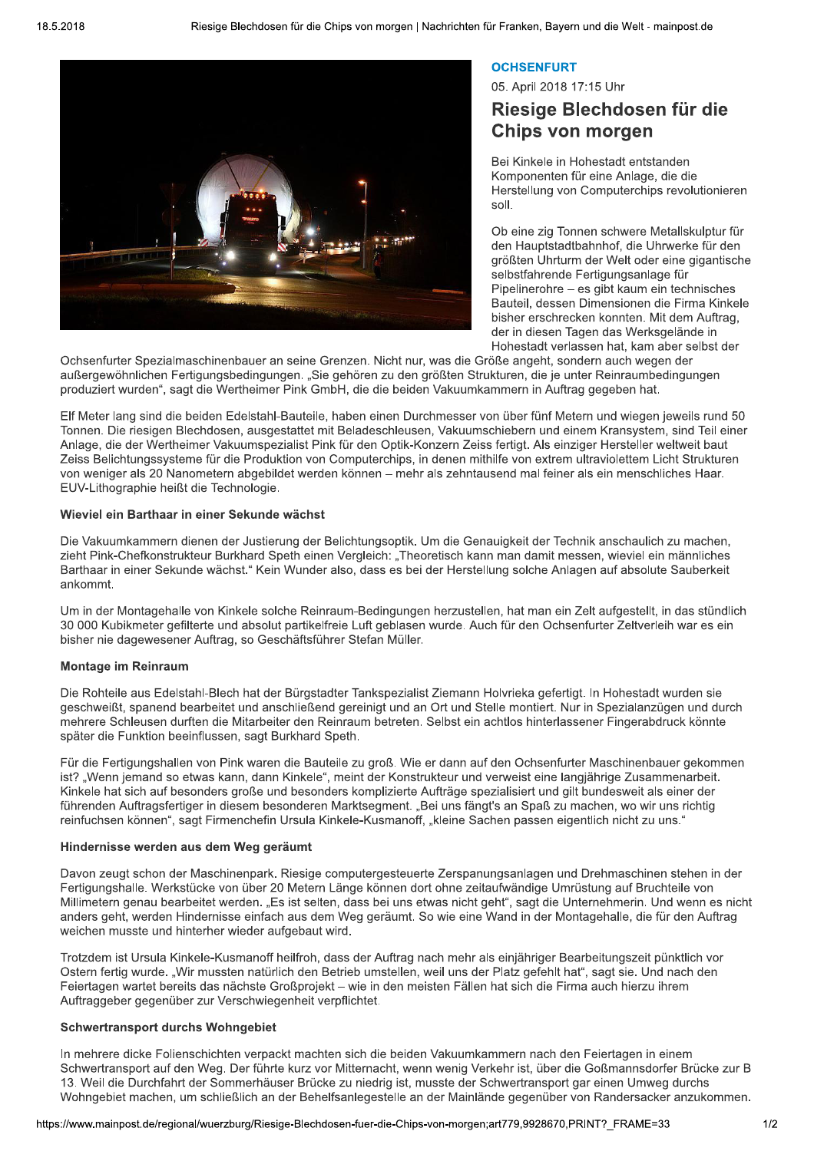

# **OCHSENFURT**

05. April 2018 17:15 Uhr

# Riesige Blechdosen für die **Chips von morgen**

Bei Kinkele in Hohestadt entstanden Komponenten für eine Anlage, die die Herstellung von Computerchips revolutionieren soll.

Ob eine zig Tonnen schwere Metallskulptur für den Hauptstadtbahnhof, die Uhrwerke für den größten Uhrturm der Welt oder eine gigantische selbstfahrende Fertigungsanlage für Pipelinerohre - es gibt kaum ein technisches Bauteil, dessen Dimensionen die Firma Kinkele bisher erschrecken konnten. Mit dem Auftrag, der in diesen Tagen das Werksgelände in Hohestadt verlassen hat, kam aber selbst der

Ochsenfurter Spezialmaschinenbauer an seine Grenzen. Nicht nur, was die Größe angeht, sondern auch wegen der außergewöhnlichen Fertigungsbedingungen. "Sie gehören zu den größten Strukturen, die je unter Reinraumbedingungen produziert wurden", sagt die Wertheimer Pink GmbH, die die beiden Vakuumkammern in Auftrag gegeben hat.

Elf Meter lang sind die beiden Edelstahl-Bauteile, haben einen Durchmesser von über fünf Metern und wiegen jeweils rund 50 Tonnen. Die riesigen Blechdosen, ausgestattet mit Beladeschleusen, Vakuumschiebern und einem Kransystem, sind Teil einer Anlage, die der Wertheimer Vakuumspezialist Pink für den Optik-Konzern Zeiss fertigt. Als einziger Hersteller weltweit baut Zeiss Belichtungssysteme für die Produktion von Computerchips, in denen mithilfe von extrem ultraviolettem Licht Strukturen von weniger als 20 Nanometern abgebildet werden können - mehr als zehntausend mal feiner als ein menschliches Haar. EUV-Lithographie heißt die Technologie.

### Wieviel ein Barthaar in einer Sekunde wächst

Die Vakuumkammern dienen der Justierung der Belichtungsoptik. Um die Genauigkeit der Technik anschaulich zu machen, zieht Pink-Chefkonstrukteur Burkhard Speth einen Vergleich: "Theoretisch kann man damit messen, wieviel ein männliches Barthaar in einer Sekunde wächst." Kein Wunder also, dass es bei der Herstellung solche Anlagen auf absolute Sauberkeit ankommt.

Um in der Montagehalle von Kinkele solche Reinraum-Bedingungen herzustellen, hat man ein Zelt aufgestellt, in das stündlich 30 000 Kubikmeter gefilterte und absolut partikelfreie Luft geblasen wurde. Auch für den Ochsenfurter Zeltverleih war es ein bisher nie dagewesener Auftrag, so Geschäftsführer Stefan Müller.

# **Montage im Reinraum**

Die Rohteile aus Edelstahl-Blech hat der Bürgstadter Tankspezialist Ziemann Holvrieka gefertigt. In Hohestadt wurden sie geschweißt, spanend bearbeitet und anschließend gereinigt und an Ort und Stelle montiert. Nur in Spezialanzügen und durch mehrere Schleusen durften die Mitarbeiter den Reinraum betreten. Selbst ein achtlos hinterlassener Fingerabdruck könnte später die Funktion beeinflussen, sagt Burkhard Speth.

Für die Fertigungshallen von Pink waren die Bauteile zu groß. Wie er dann auf den Ochsenfurter Maschinenbauer gekommen ist? "Wenn jemand so etwas kann, dann Kinkele", meint der Konstrukteur und verweist eine langjährige Zusammenarbeit. Kinkele hat sich auf besonders große und besonders komplizierte Aufträge spezialisiert und gilt bundesweit als einer der führenden Auftragsfertiger in diesem besonderen Marktsegment. "Bei uns fängt's an Spaß zu machen, wo wir uns richtig reinfuchsen können", sagt Firmenchefin Ursula Kinkele-Kusmanoff, "kleine Sachen passen eigentlich nicht zu uns."

#### Hindernisse werden aus dem Weg geräumt

Davon zeugt schon der Maschinenpark. Riesige computergesteuerte Zerspanungsanlagen und Drehmaschinen stehen in der Fertigungshalle. Werkstücke von über 20 Metern Länge können dort ohne zeitaufwändige Umrüstung auf Bruchteile von Millimetern genau bearbeitet werden. "Es ist selten, dass bei uns etwas nicht geht", sagt die Unternehmerin. Und wenn es nicht anders geht, werden Hindernisse einfach aus dem Weg geräumt. So wie eine Wand in der Montagehalle, die für den Auftrag weichen musste und hinterher wieder aufgebaut wird.

Trotzdem ist Ursula Kinkele-Kusmanoff heilfroh, dass der Auftrag nach mehr als einjähriger Bearbeitungszeit pünktlich vor Ostern fertig wurde. "Wir mussten natürlich den Betrieb umstellen, weil uns der Platz gefehlt hat", sagt sie. Und nach den Feiertagen wartet bereits das nächste Großprojekt – wie in den meisten Fällen hat sich die Firma auch hierzu ihrem Auftraggeber gegenüber zur Verschwiegenheit verpflichtet.

# **Schwertransport durchs Wohngebiet**

In mehrere dicke Folienschichten verpackt machten sich die beiden Vakuumkammern nach den Feiertagen in einem Schwertransport auf den Weg. Der führte kurz vor Mitternacht, wenn wenig Verkehr ist, über die Goßmannsdorfer Brücke zur B 13. Weil die Durchfahrt der Sommerhäuser Brücke zu niedrig ist, musste der Schwertransport gar einen Umweg durchs Wohngebiet machen, um schließlich an der Behelfsanlegestelle an der Mainlände gegenüber von Randersacker anzukommen.